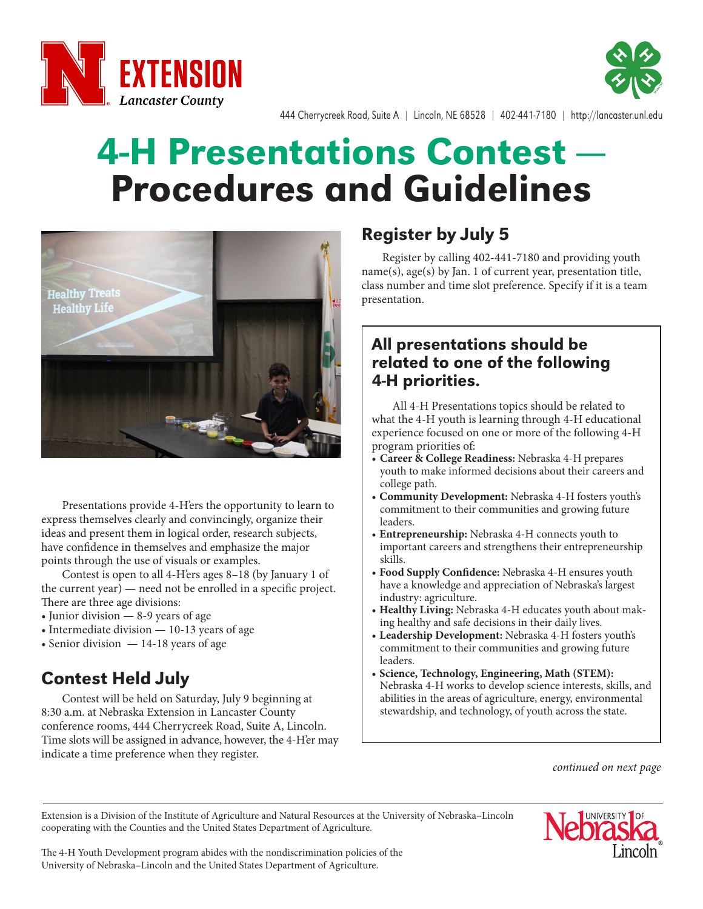



444 Cherrycreek Road, Suite A | Lincoln, NE 68528 | 402-441-7180 | http://lancaster.unl.edu

# **4-H Presentations Contest -**Procedures and Guidelines



Presentations provide 4-H'ers the opportunity to learn to express themselves clearly and convincingly, organize their ideas and present them in logical order, research subjects, have confidence in themselves and emphasize the major points through the use of visuals or examples.

Contest is open to all 4-H'ers ages 8–18 (by January 1 of the current year) — need not be enrolled in a specific project. There are three age divisions:

- Junior division 8-9 years of age
- Intermediate division 10-13 years of age
- Senior division 14-18 years of age

# Contest Held July

Contest will be held on Saturday, July 9 beginning at 8:30 a.m. at Nebraska Extension in Lancaster County conference rooms, 444 Cherrycreek Road, Suite A, Lincoln. Time slots will be assigned in advance, however, the 4-H'er may indicate a time preference when they register.

## Register by July 5

Register by calling 402-441-7180 and providing youth name(s), age(s) by Jan. 1 of current year, presentation title, class number and time slot preference. Specify if it is a team presentation.

#### All presentations should be related to one of the following 4-H priorities.

All 4-H Presentations topics should be related to what the 4-H youth is learning through 4-H educational experience focused on one or more of the following 4-H program priorities of:

- **Career & College Readiness:** Nebraska 4-H prepares youth to make informed decisions about their careers and college path.
- **Community Development:** Nebraska 4-H fosters youth's commitment to their communities and growing future leaders.
- **Entrepreneurship:** Nebraska 4-H connects youth to important careers and strengthens their entrepreneurship skills.
- **Food Supply Confidence:** Nebraska 4-H ensures youth have a knowledge and appreciation of Nebraska's largest industry: agriculture.
- **Healthy Living:** Nebraska 4-H educates youth about making healthy and safe decisions in their daily lives.
- **Leadership Development:** Nebraska 4-H fosters youth's commitment to their communities and growing future leaders.
- **Science, Technology, Engineering, Math (STEM):**  Nebraska 4-H works to develop science interests, skills, and abilities in the areas of agriculture, energy, environmental stewardship, and technology, of youth across the state.

*continued on next page*

Extension is a Division of the Institute of Agriculture and Natural Resources at the University of Nebraska–Lincoln cooperating with the Counties and the United States Department of Agriculture.



The 4-H Youth Development program abides with the nondiscrimination policies of the University of Nebraska–Lincoln and the United States Department of Agriculture.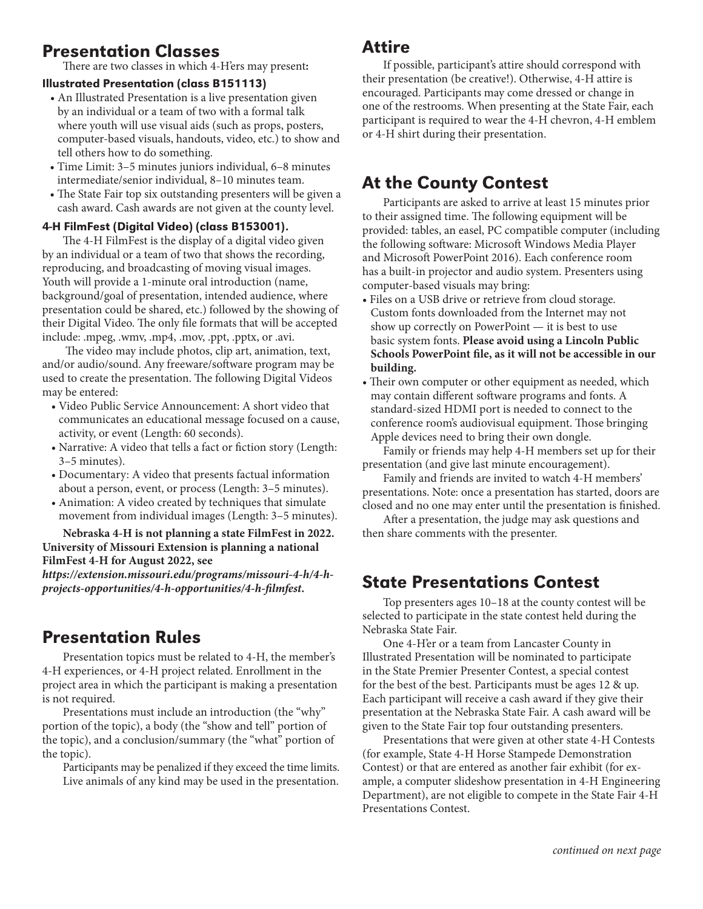# Presentation Classes

There are two classes in which 4-H'ers may present**:**

#### Illustrated Presentation (class B151113)

- An Illustrated Presentation is a live presentation given by an individual or a team of two with a formal talk where youth will use visual aids (such as props, posters, computer-based visuals, handouts, video, etc.) to show and tell others how to do something.
- Time Limit: 3–5 minutes juniors individual, 6–8 minutes intermediate/senior individual, 8–10 minutes team.
- The State Fair top six outstanding presenters will be given a cash award. Cash awards are not given at the county level.

#### 4-H FilmFest (Digital Video) (class B153001).

The 4-H FilmFest is the display of a digital video given by an individual or a team of two that shows the recording, reproducing, and broadcasting of moving visual images. Youth will provide a 1-minute oral introduction (name, background/goal of presentation, intended audience, where presentation could be shared, etc.) followed by the showing of their Digital Video. The only file formats that will be accepted include: .mpeg, .wmv, .mp4, .mov, .ppt, .pptx, or .avi.

 The video may include photos, clip art, animation, text, and/or audio/sound. Any freeware/software program may be used to create the presentation. The following Digital Videos may be entered:

- Video Public Service Announcement: A short video that communicates an educational message focused on a cause, activity, or event (Length: 60 seconds).
- Narrative: A video that tells a fact or fiction story (Length: 3–5 minutes).
- Documentary: A video that presents factual information about a person, event, or process (Length: 3–5 minutes).
- Animation: A video created by techniques that simulate movement from individual images (Length: 3–5 minutes).

**Nebraska 4-H is not planning a state FilmFest in 2022. University of Missouri Extension is planning a national FilmFest 4-H for August 2022, see** 

*https://extension.missouri.edu/programs/missouri-4-h/4-hprojects-opportunities/4-h-opportunities/4-h-filmfest***.**

## Presentation Rules

Presentation topics must be related to 4-H, the member's 4-H experiences, or 4-H project related. Enrollment in the project area in which the participant is making a presentation is not required.

Presentations must include an introduction (the "why" portion of the topic), a body (the "show and tell" portion of the topic), and a conclusion/summary (the "what" portion of the topic).

Participants may be penalized if they exceed the time limits. Live animals of any kind may be used in the presentation.

#### Attire

If possible, participant's attire should correspond with their presentation (be creative!). Otherwise, 4-H attire is encouraged. Participants may come dressed or change in one of the restrooms. When presenting at the State Fair, each participant is required to wear the 4-H chevron, 4-H emblem or 4-H shirt during their presentation.

## At the County Contest

Participants are asked to arrive at least 15 minutes prior to their assigned time. The following equipment will be provided: tables, an easel, PC compatible computer (including the following software: Microsoft Windows Media Player and Microsoft PowerPoint 2016). Each conference room has a built-in projector and audio system. Presenters using computer-based visuals may bring:

- Files on a USB drive or retrieve from cloud storage. Custom fonts downloaded from the Internet may not show up correctly on PowerPoint — it is best to use basic system fonts. **Please avoid using a Lincoln Public Schools PowerPoint file, as it will not be accessible in our building.**
- Their own computer or other equipment as needed, which may contain different software programs and fonts. A standard-sized HDMI port is needed to connect to the conference room's audiovisual equipment. Those bringing Apple devices need to bring their own dongle.

Family or friends may help 4-H members set up for their presentation (and give last minute encouragement).

Family and friends are invited to watch 4-H members' presentations. Note: once a presentation has started, doors are closed and no one may enter until the presentation is finished.

After a presentation, the judge may ask questions and then share comments with the presenter.

# State Presentations Contest

Top presenters ages 10–18 at the county contest will be selected to participate in the state contest held during the Nebraska State Fair.

One 4-H'er or a team from Lancaster County in Illustrated Presentation will be nominated to participate in the State Premier Presenter Contest, a special contest for the best of the best. Participants must be ages 12 & up. Each participant will receive a cash award if they give their presentation at the Nebraska State Fair. A cash award will be given to the State Fair top four outstanding presenters.

Presentations that were given at other state 4-H Contests (for example, State 4-H Horse Stampede Demonstration Contest) or that are entered as another fair exhibit (for example, a computer slideshow presentation in 4-H Engineering Department), are not eligible to compete in the State Fair 4-H Presentations Contest.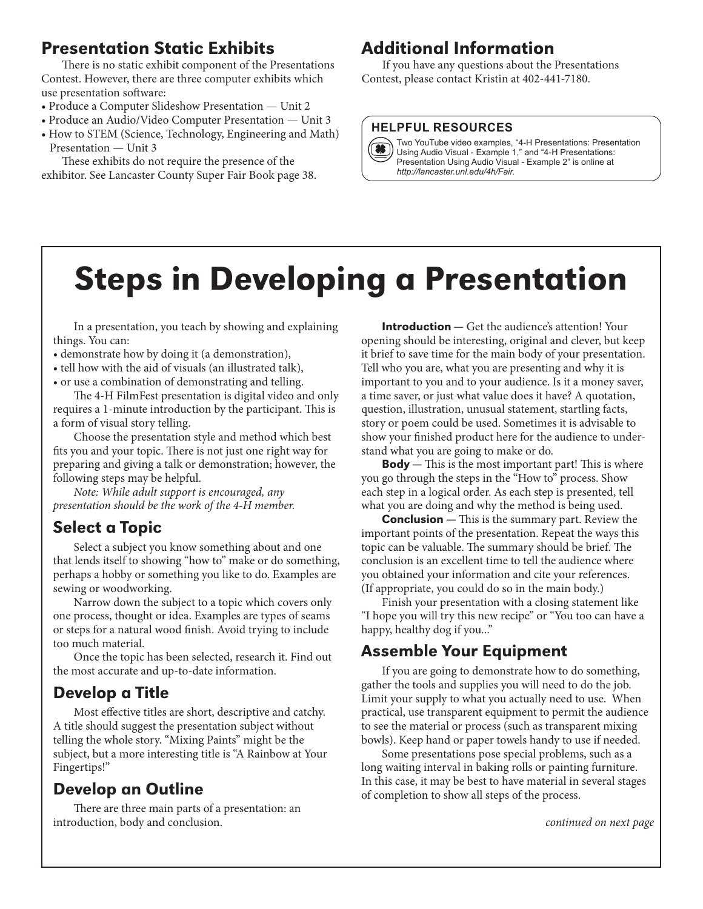# Presentation Static Exhibits

There is no static exhibit component of the Presentations Contest. However, there are three computer exhibits which use presentation software:

- Produce a Computer Slideshow Presentation Unit 2
- Produce an Audio/Video Computer Presentation Unit 3
- How to STEM (Science, Technology, Engineering and Math) Presentation — Unit 3

These exhibits do not require the presence of the exhibitor. See Lancaster County Super Fair Book page 38.

## Additional Information

If you have any questions about the Presentations Contest, please contact Kristin at 402-441-7180.

#### **HELPFUL RESOURCES**

Two YouTube video examples, "4-H Presentations: Presentation<br>(1) Using Audio Visual - Example 1, " and "4-H Presentations: Using Audio Visual - Example 1," and "4-H Presentations: Presentation Using Audio Visual - Example 2" is online at *http://lancaster.unl.edu/4h/Fair.*

# Steps in Developing a Presentation

In a presentation, you teach by showing and explaining things. You can:

- demonstrate how by doing it (a demonstration),
- tell how with the aid of visuals (an illustrated talk),
- or use a combination of demonstrating and telling.

The 4-H FilmFest presentation is digital video and only requires a 1-minute introduction by the participant. This is a form of visual story telling.

Choose the presentation style and method which best fits you and your topic. There is not just one right way for preparing and giving a talk or demonstration; however, the following steps may be helpful.

*Note: While adult support is encouraged, any presentation should be the work of the 4-H member.*

## Select a Topic

Select a subject you know something about and one that lends itself to showing "how to" make or do something, perhaps a hobby or something you like to do. Examples are sewing or woodworking.

Narrow down the subject to a topic which covers only one process, thought or idea. Examples are types of seams or steps for a natural wood finish. Avoid trying to include too much material.

Once the topic has been selected, research it. Find out the most accurate and up-to-date information.

## Develop a Title

Most effective titles are short, descriptive and catchy. A title should suggest the presentation subject without telling the whole story. "Mixing Paints" might be the subject, but a more interesting title is "A Rainbow at Your Fingertips!"

# Develop an Outline

There are three main parts of a presentation: an introduction, body and conclusion.

**Introduction** — Get the audience's attention! Your opening should be interesting, original and clever, but keep it brief to save time for the main body of your presentation. Tell who you are, what you are presenting and why it is important to you and to your audience. Is it a money saver, a time saver, or just what value does it have? A quotation, question, illustration, unusual statement, startling facts, story or poem could be used. Sometimes it is advisable to show your finished product here for the audience to understand what you are going to make or do.

**Body**  $-$  This is the most important part! This is where you go through the steps in the "How to" process. Show each step in a logical order. As each step is presented, tell what you are doing and why the method is being used.

**Conclusion** — This is the summary part. Review the important points of the presentation. Repeat the ways this topic can be valuable. The summary should be brief. The conclusion is an excellent time to tell the audience where you obtained your information and cite your references. (If appropriate, you could do so in the main body.)

Finish your presentation with a closing statement like "I hope you will try this new recipe" or "You too can have a happy, healthy dog if you..."

## Assemble Your Equipment

If you are going to demonstrate how to do something, gather the tools and supplies you will need to do the job. Limit your supply to what you actually need to use. When practical, use transparent equipment to permit the audience to see the material or process (such as transparent mixing bowls). Keep hand or paper towels handy to use if needed.

Some presentations pose special problems, such as a long waiting interval in baking rolls or painting furniture. In this case, it may be best to have material in several stages of completion to show all steps of the process.

*continued on next page*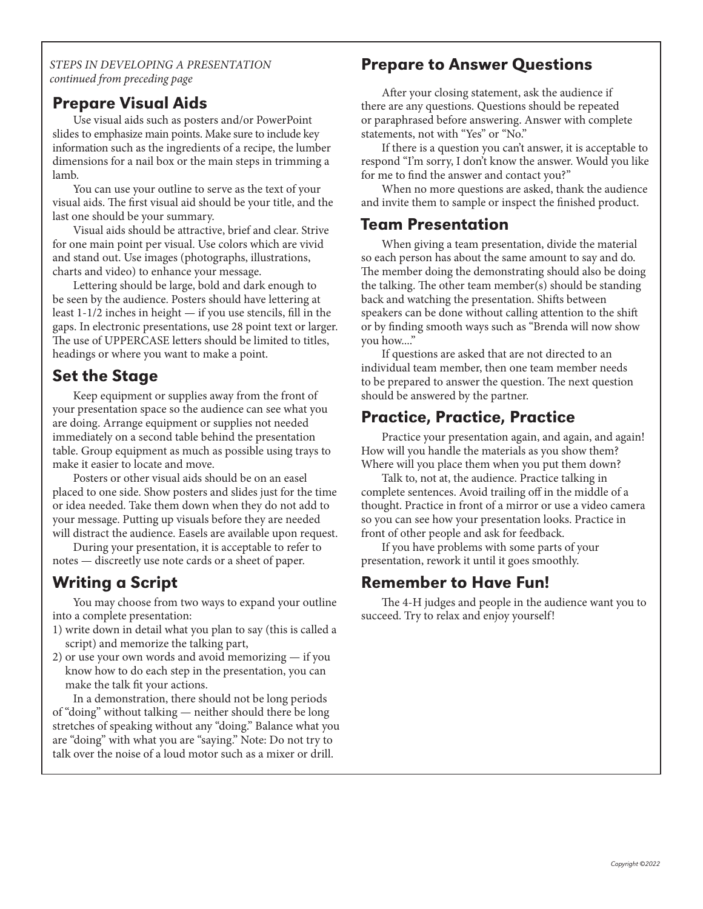*STEPS IN DEVELOPING A PRESENTATION continued from preceding page*

#### Prepare Visual Aids

Use visual aids such as posters and/or PowerPoint slides to emphasize main points. Make sure to include key information such as the ingredients of a recipe, the lumber dimensions for a nail box or the main steps in trimming a lamb.

You can use your outline to serve as the text of your visual aids. The first visual aid should be your title, and the last one should be your summary.

Visual aids should be attractive, brief and clear. Strive for one main point per visual. Use colors which are vivid and stand out. Use images (photographs, illustrations, charts and video) to enhance your message.

Lettering should be large, bold and dark enough to be seen by the audience. Posters should have lettering at least 1-1/2 inches in height — if you use stencils, fill in the gaps. In electronic presentations, use 28 point text or larger. The use of UPPERCASE letters should be limited to titles, headings or where you want to make a point.

## Set the Stage

Keep equipment or supplies away from the front of your presentation space so the audience can see what you are doing. Arrange equipment or supplies not needed immediately on a second table behind the presentation table. Group equipment as much as possible using trays to make it easier to locate and move.

Posters or other visual aids should be on an easel placed to one side. Show posters and slides just for the time or idea needed. Take them down when they do not add to your message. Putting up visuals before they are needed will distract the audience. Easels are available upon request.

During your presentation, it is acceptable to refer to notes — discreetly use note cards or a sheet of paper.

# Writing a Script

You may choose from two ways to expand your outline into a complete presentation:

- 1) write down in detail what you plan to say (this is called a script) and memorize the talking part,
- 2) or use your own words and avoid memorizing if you know how to do each step in the presentation, you can make the talk fit your actions.

In a demonstration, there should not be long periods of "doing" without talking — neither should there be long stretches of speaking without any "doing." Balance what you are "doing" with what you are "saying." Note: Do not try to talk over the noise of a loud motor such as a mixer or drill.

#### Prepare to Answer Questions

After your closing statement, ask the audience if there are any questions. Questions should be repeated or paraphrased before answering. Answer with complete statements, not with "Yes" or "No."

If there is a question you can't answer, it is acceptable to respond "I'm sorry, I don't know the answer. Would you like for me to find the answer and contact you?"

When no more questions are asked, thank the audience and invite them to sample or inspect the finished product.

#### Team Presentation

When giving a team presentation, divide the material so each person has about the same amount to say and do. The member doing the demonstrating should also be doing the talking. The other team member(s) should be standing back and watching the presentation. Shifts between speakers can be done without calling attention to the shift or by finding smooth ways such as "Brenda will now show you how...."

If questions are asked that are not directed to an individual team member, then one team member needs to be prepared to answer the question. The next question should be answered by the partner.

#### Practice, Practice, Practice

Practice your presentation again, and again, and again! How will you handle the materials as you show them? Where will you place them when you put them down?

Talk to, not at, the audience. Practice talking in complete sentences. Avoid trailing off in the middle of a thought. Practice in front of a mirror or use a video camera so you can see how your presentation looks. Practice in front of other people and ask for feedback.

If you have problems with some parts of your presentation, rework it until it goes smoothly.

#### Remember to Have Fun!

The 4-H judges and people in the audience want you to succeed. Try to relax and enjoy yourself!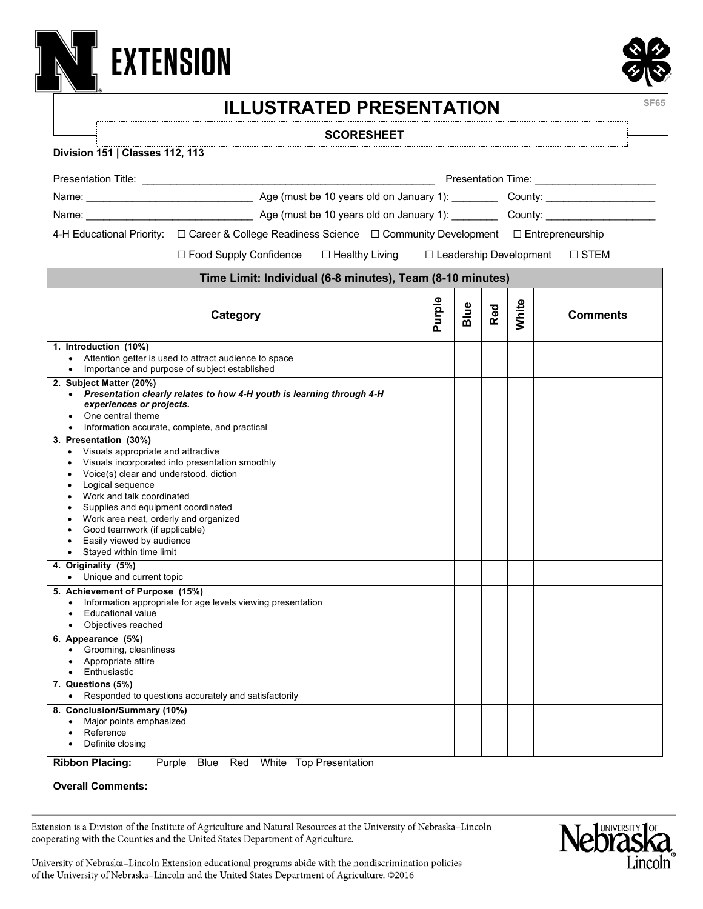

#### **SCORESHEET**

#### **Division 151 | Classes 112, 113**

**EXTENSION** 

| Presentation Time: __________________________                                                                                                                                                                                                                                                                                                             |                                                                                                                                                                                                                               |                                                                                                                          |                                         |     |       |                 |  |  |
|-----------------------------------------------------------------------------------------------------------------------------------------------------------------------------------------------------------------------------------------------------------------------------------------------------------------------------------------------------------|-------------------------------------------------------------------------------------------------------------------------------------------------------------------------------------------------------------------------------|--------------------------------------------------------------------------------------------------------------------------|-----------------------------------------|-----|-------|-----------------|--|--|
|                                                                                                                                                                                                                                                                                                                                                           |                                                                                                                                                                                                                               |                                                                                                                          |                                         |     |       |                 |  |  |
|                                                                                                                                                                                                                                                                                                                                                           | Name: County: County: County: County: County: County: County: County: County: County: County: County: County: County: County: County: County: County: County: County: County: County: County: County: County: County: County: |                                                                                                                          |                                         |     |       |                 |  |  |
|                                                                                                                                                                                                                                                                                                                                                           |                                                                                                                                                                                                                               |                                                                                                                          |                                         |     |       |                 |  |  |
|                                                                                                                                                                                                                                                                                                                                                           |                                                                                                                                                                                                                               | 4-H Educational Priority: $\Box$ Career & College Readiness Science $\Box$ Community Development $\Box$ Entrepreneurship |                                         |     |       |                 |  |  |
|                                                                                                                                                                                                                                                                                                                                                           | $\Box$ Food Supply Confidence $\Box$ Healthy Living                                                                                                                                                                           |                                                                                                                          | □ Leadership Development<br>$\Box$ STEM |     |       |                 |  |  |
| Time Limit: Individual (6-8 minutes), Team (8-10 minutes)                                                                                                                                                                                                                                                                                                 |                                                                                                                                                                                                                               |                                                                                                                          |                                         |     |       |                 |  |  |
| Category                                                                                                                                                                                                                                                                                                                                                  |                                                                                                                                                                                                                               | Purple                                                                                                                   | Blue                                    | Red | White | <b>Comments</b> |  |  |
| 1. Introduction (10%)<br>$\bullet$                                                                                                                                                                                                                                                                                                                        | Attention getter is used to attract audience to space                                                                                                                                                                         |                                                                                                                          |                                         |     |       |                 |  |  |
| Importance and purpose of subject established<br>2. Subject Matter (20%)<br>Presentation clearly relates to how 4-H youth is learning through 4-H<br>$\bullet$<br>experiences or projects.<br>One central theme<br>Information accurate, complete, and practical                                                                                          |                                                                                                                                                                                                                               |                                                                                                                          |                                         |     |       |                 |  |  |
| 3. Presentation (30%)<br>Visuals appropriate and attractive<br>$\bullet$<br>Voice(s) clear and understood, diction<br>Logical sequence<br>Work and talk coordinated<br>Supplies and equipment coordinated<br>Work area neat, orderly and organized<br>Good teamwork (if applicable)<br>Easily viewed by audience<br>Stayed within time limit<br>$\bullet$ | Visuals incorporated into presentation smoothly                                                                                                                                                                               |                                                                                                                          |                                         |     |       |                 |  |  |
| 4. Originality (5%)<br>• Unique and current topic                                                                                                                                                                                                                                                                                                         |                                                                                                                                                                                                                               |                                                                                                                          |                                         |     |       |                 |  |  |
| 5. Achievement of Purpose (15%)<br>Information appropriate for age levels viewing presentation<br>$\bullet$<br><b>Educational value</b><br>Objectives reached                                                                                                                                                                                             |                                                                                                                                                                                                                               |                                                                                                                          |                                         |     |       |                 |  |  |
| 6. Appearance (5%)<br>Grooming, cleanliness<br>$\bullet$<br>Appropriate attire<br>• Enthusiastic<br>7. Questions (5%)                                                                                                                                                                                                                                     |                                                                                                                                                                                                                               |                                                                                                                          |                                         |     |       |                 |  |  |
|                                                                                                                                                                                                                                                                                                                                                           | • Responded to questions accurately and satisfactorily                                                                                                                                                                        |                                                                                                                          |                                         |     |       |                 |  |  |
| 8. Conclusion/Summary (10%)<br>Major points emphasized<br>Reference<br>Definite closing                                                                                                                                                                                                                                                                   |                                                                                                                                                                                                                               |                                                                                                                          |                                         |     |       |                 |  |  |

**Ribbon Placing:** Purple Blue Red White Top Presentation

#### **Overall Comments:**

Extension is a Division of the Institute of Agriculture and Natural Resources at the University of Nebraska-Lincoln cooperating with the Counties and the United States Department of Agriculture.



University of Nebraska-Lincoln Extension educational programs abide with the nondiscrimination policies of the University of Nebraska-Lincoln and the United States Department of Agriculture. @2016